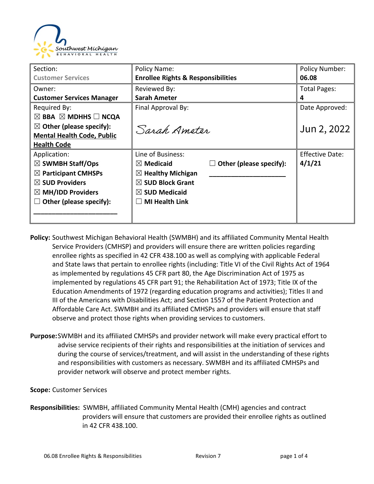

| Section:                                      | Policy Name:                                  |                         | <b>Policy Number:</b>  |
|-----------------------------------------------|-----------------------------------------------|-------------------------|------------------------|
| <b>Customer Services</b>                      | <b>Enrollee Rights &amp; Responsibilities</b> |                         | 06.08                  |
| Owner:                                        | Reviewed By:                                  |                         | Total Pages:           |
| <b>Customer Services Manager</b>              | <b>Sarah Ameter</b>                           | 4                       |                        |
| Required By:                                  | Final Approval By:                            |                         | Date Approved:         |
| $\boxtimes$ BBA $\boxtimes$ MDHHS $\Box$ NCQA |                                               |                         |                        |
| $\boxtimes$ Other (please specify):           | Sarah Amoton                                  |                         | Jun 2, 2022            |
| <b>Mental Health Code, Public</b>             |                                               |                         |                        |
| <b>Health Code</b>                            |                                               |                         |                        |
| Application:                                  | Line of Business:                             |                         | <b>Effective Date:</b> |
| $\boxtimes$ SWMBH Staff/Ops                   | $\boxtimes$ Medicaid                          | Other (please specify): | 4/1/21                 |
| $\boxtimes$ Participant CMHSPs                | $\boxtimes$ Healthy Michigan                  |                         |                        |
| $\boxtimes$ SUD Providers                     | $\boxtimes$ SUD Block Grant                   |                         |                        |
| $\boxtimes$ MH/IDD Providers                  | $\boxtimes$ SUD Medicaid                      |                         |                        |
| Other (please specify):                       | <b>MI Health Link</b>                         |                         |                        |
|                                               |                                               |                         |                        |
|                                               |                                               |                         |                        |

- **Policy:** Southwest Michigan Behavioral Health (SWMBH) and its affiliated Community Mental Health Service Providers (CMHSP) and providers will ensure there are written policies regarding enrollee rights as specified in 42 CFR 438.100 as well as complying with applicable Federal and State laws that pertain to enrollee rights (including: Title VI of the Civil Rights Act of 1964 as implemented by regulations 45 CFR part 80, the Age Discrimination Act of 1975 as implemented by regulations 45 CFR part 91; the Rehabilitation Act of 1973; Title IX of the Education Amendments of 1972 (regarding education programs and activities); Titles II and III of the Americans with Disabilities Act; and Section 1557 of the Patient Protection and Affordable Care Act. SWMBH and its affiliated CMHSPs and providers will ensure that staff observe and protect those rights when providing services to customers.
- **Purpose:**SWMBH and its affiliated CMHSPs and provider network will make every practical effort to advise service recipients of their rights and responsibilities at the initiation of services and during the course of services/treatment, and will assist in the understanding of these rights and responsibilities with customers as necessary. SWMBH and its affiliated CMHSPs and provider network will observe and protect member rights.

## **Scope:** Customer Services

**Responsibilities:** SWMBH, affiliated Community Mental Health (CMH) agencies and contract providers will ensure that customers are provided their enrollee rights as outlined in 42 CFR 438.100.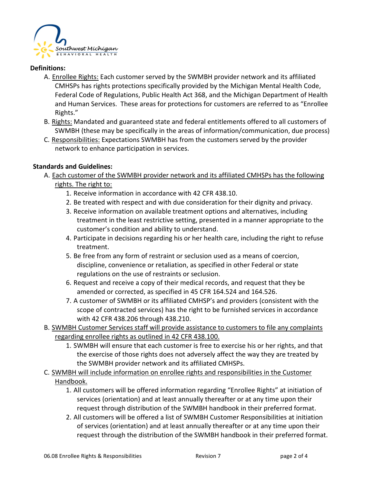

# **Definitions:**

- A. **Enrollee Rights:** Each customer served by the SWMBH provider network and its affiliated CMHSPs has rights protections specifically provided by the Michigan Mental Health Code, Federal Code of Regulations, Public Health Act 368, and the Michigan Department of Health and Human Services. These areas for protections for customers are referred to as "Enrollee Rights."
- B. Rights: Mandated and guaranteed state and federal entitlements offered to all customers of SWMBH (these may be specifically in the areas of information/communication, due process)
- C. Responsibilities: Expectations SWMBH has from the customers served by the provider network to enhance participation in services.

## **Standards and Guidelines:**

- A. Each customer of the SWMBH provider network and its affiliated CMHSPs has the following rights. The right to:
	- 1. Receive information in accordance with 42 CFR 438.10.
	- 2. Be treated with respect and with due consideration for their dignity and privacy.
	- 3. Receive information on available treatment options and alternatives, including treatment in the least restrictive setting, presented in a manner appropriate to the customer's condition and ability to understand.
	- 4. Participate in decisions regarding his or her health care, including the right to refuse treatment.
	- 5. Be free from any form of restraint or seclusion used as a means of coercion, discipline, convenience or retaliation, as specified in other Federal or state regulations on the use of restraints or seclusion.
	- 6. Request and receive a copy of their medical records, and request that they be amended or corrected, as specified in 45 CFR 164.524 and 164.526.
	- 7. A customer of SWMBH or its affiliated CMHSP's and providers (consistent with the scope of contracted services) has the right to be furnished services in accordance with 42 CFR 438.206 through 438.210.
- B. SWMBH Customer Services staff will provide assistance to customers to file any complaints regarding enrollee rights as outlined in 42 CFR 438.100.
	- 1. SWMBH will ensure that each customer is free to exercise his or her rights, and that the exercise of those rights does not adversely affect the way they are treated by the SWMBH provider network and its affiliated CMHSPs.
- C. SWMBH will include information on enrollee rights and responsibilities in the Customer Handbook.
	- 1. All customers will be offered information regarding "Enrollee Rights" at initiation of services (orientation) and at least annually thereafter or at any time upon their request through distribution of the SWMBH handbook in their preferred format.
	- 2. All customers will be offered a list of SWMBH Customer Responsibilities at initiation of services (orientation) and at least annually thereafter or at any time upon their request through the distribution of the SWMBH handbook in their preferred format.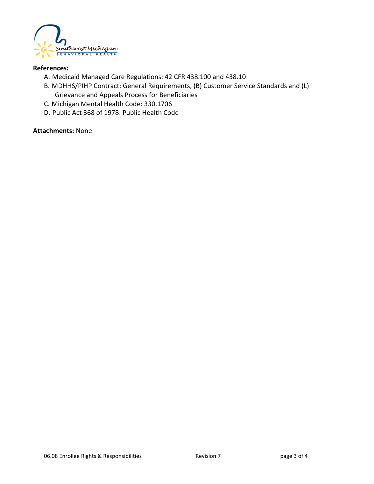

#### **References:**

- A. Medicaid Managed Care Regulations: 42 CFR 438.100 and 438.10
- B. MDHHS/PIHP Contract: General Requirements, (B) Customer Service Standards and (L) Grievance and Appeals Process for Beneficiaries
- C. Michigan Mental Health Code: 330.1706
- D. Public Act 368 of 1978: Public Health Code

#### **Attachments:** None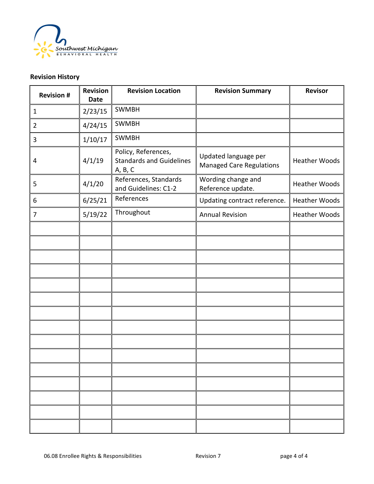

# **Revision History**

| <b>Revision #</b> | <b>Revision</b><br><b>Date</b> | <b>Revision Location</b>                                          | <b>Revision Summary</b>                                 | <b>Revisor</b>       |
|-------------------|--------------------------------|-------------------------------------------------------------------|---------------------------------------------------------|----------------------|
| $\mathbf{1}$      | 2/23/15                        | <b>SWMBH</b>                                                      |                                                         |                      |
| $\overline{2}$    | 4/24/15                        | <b>SWMBH</b>                                                      |                                                         |                      |
| 3                 | 1/10/17                        | <b>SWMBH</b>                                                      |                                                         |                      |
| 4                 | 4/1/19                         | Policy, References,<br><b>Standards and Guidelines</b><br>A, B, C | Updated language per<br><b>Managed Care Regulations</b> | <b>Heather Woods</b> |
| 5                 | 4/1/20                         | References, Standards<br>and Guidelines: C1-2                     | Wording change and<br>Reference update.                 | <b>Heather Woods</b> |
| 6                 | 6/25/21                        | References                                                        | Updating contract reference.                            | <b>Heather Woods</b> |
| $\overline{7}$    | 5/19/22                        | Throughout                                                        | <b>Annual Revision</b>                                  | <b>Heather Woods</b> |
|                   |                                |                                                                   |                                                         |                      |
|                   |                                |                                                                   |                                                         |                      |
|                   |                                |                                                                   |                                                         |                      |
|                   |                                |                                                                   |                                                         |                      |
|                   |                                |                                                                   |                                                         |                      |
|                   |                                |                                                                   |                                                         |                      |
|                   |                                |                                                                   |                                                         |                      |
|                   |                                |                                                                   |                                                         |                      |
|                   |                                |                                                                   |                                                         |                      |
|                   |                                |                                                                   |                                                         |                      |
|                   |                                |                                                                   |                                                         |                      |
|                   |                                |                                                                   |                                                         |                      |
|                   |                                |                                                                   |                                                         |                      |
|                   |                                |                                                                   |                                                         |                      |
|                   |                                |                                                                   |                                                         |                      |